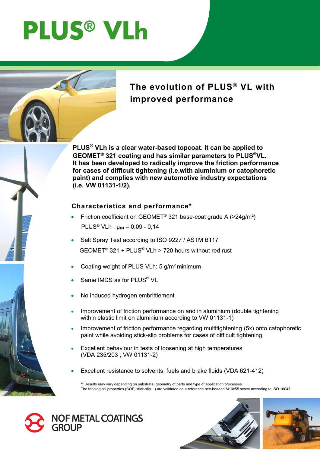# **PLUS® VLh**



# **The evolution of PLUS® VL with improved performance**

**PLUS® VLh is a clear water-based topcoat. It can be applied to GEOMET® 321 coating and has similar parameters to PLUS®VL. It has been developed to radically improve the friction performance for cases of difficult tightening (i.e.with aluminium or catophoretic paint) and complies with new automotive industry expectations (i.e. VW 01131-1/2).**

#### **Characteristics and performance\***

- Friction coefficient on GEOMET® 321 base-coat grade A (>24g/m²) PLUS<sup>®</sup> VLh :  $\mu_{tot} = 0.09 - 0.14$
- Salt Spray Test according to ISO 9227 / ASTM B117 GEOMET<sup>®</sup> 321 + PLUS<sup>®</sup> VLh > 720 hours without red rust
- Coating weight of PLUS VLh: 5 g/m<sup>2</sup> minimum
- Same IMDS as for PLUS<sup>®</sup> VL
- No induced hydrogen embrittlement
- Improvement of friction performance on and in aluminium (double tightening within elastic limit on aluminium according to VW 01131-1)
- Improvement of friction performance regarding multitightening (5x) onto catophoretic paint while avoiding stick-slip problems for cases of difficult tightening
- Excellent behaviour in tests of loosening at high temperatures (VDA 235/203 ; VW 01131-2)
- Excellent resistance to solvents, fuels and brake fluids (VDA 621-412)

**\*** Results may vary depending on substrate, geometry of parts and type of application processes The tribological properties (COF, stick-slip…) are validated on a reference hex-headed M10x55 screw according to ISO 16047